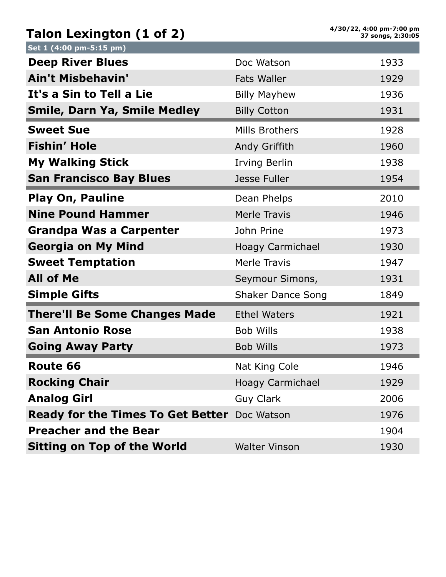## **Talon Lexington (1 of 2)**

| Set 1 (4:00 pm-5:15 pm)                             |                          |      |
|-----------------------------------------------------|--------------------------|------|
| <b>Deep River Blues</b>                             | Doc Watson               | 1933 |
|                                                     |                          |      |
| <b>Ain't Misbehavin'</b>                            | <b>Fats Waller</b>       | 1929 |
| It's a Sin to Tell a Lie                            | <b>Billy Mayhew</b>      | 1936 |
| <b>Smile, Darn Ya, Smile Medley</b>                 | <b>Billy Cotton</b>      | 1931 |
| <b>Sweet Sue</b>                                    | Mills Brothers           | 1928 |
| <b>Fishin' Hole</b>                                 | Andy Griffith            | 1960 |
| <b>My Walking Stick</b>                             | <b>Irving Berlin</b>     | 1938 |
| <b>San Francisco Bay Blues</b>                      | Jesse Fuller             | 1954 |
| <b>Play On, Pauline</b>                             | Dean Phelps              | 2010 |
| <b>Nine Pound Hammer</b>                            | <b>Merle Travis</b>      | 1946 |
| <b>Grandpa Was a Carpenter</b>                      | John Prine               | 1973 |
| <b>Georgia on My Mind</b>                           | Hoagy Carmichael         | 1930 |
| <b>Sweet Temptation</b>                             | <b>Merle Travis</b>      | 1947 |
| <b>All of Me</b>                                    | Seymour Simons,          | 1931 |
| <b>Simple Gifts</b>                                 | <b>Shaker Dance Song</b> | 1849 |
| <b>There'll Be Some Changes Made</b>                | <b>Ethel Waters</b>      | 1921 |
| <b>San Antonio Rose</b>                             | <b>Bob Wills</b>         | 1938 |
| <b>Going Away Party</b>                             | <b>Bob Wills</b>         | 1973 |
| Route 66                                            | Nat King Cole            | 1946 |
| <b>Rocking Chair</b>                                | <b>Hoagy Carmichael</b>  | 1929 |
| <b>Analog Girl</b>                                  | <b>Guy Clark</b>         | 2006 |
| <b>Ready for the Times To Get Better</b> Doc Watson |                          | 1976 |
| <b>Preacher and the Bear</b>                        |                          | 1904 |
| <b>Sitting on Top of the World</b>                  | <b>Walter Vinson</b>     | 1930 |